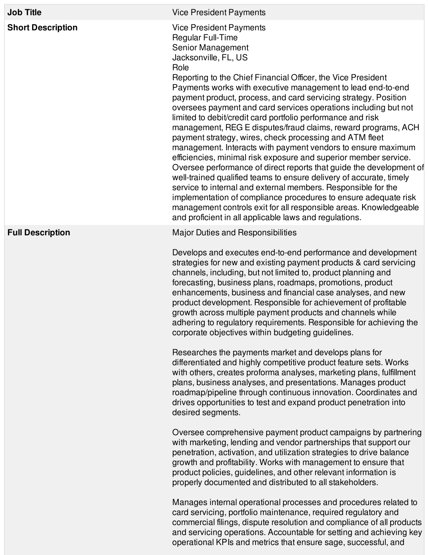| <b>Job Title</b>         | <b>Vice President Payments</b>                                                                                                                                                                                                                                                                                                                                                                                                                                                                                                                                                                                                                                                                                                                                                                                                                                                                                                                                                                                                                                                                                                |
|--------------------------|-------------------------------------------------------------------------------------------------------------------------------------------------------------------------------------------------------------------------------------------------------------------------------------------------------------------------------------------------------------------------------------------------------------------------------------------------------------------------------------------------------------------------------------------------------------------------------------------------------------------------------------------------------------------------------------------------------------------------------------------------------------------------------------------------------------------------------------------------------------------------------------------------------------------------------------------------------------------------------------------------------------------------------------------------------------------------------------------------------------------------------|
| <b>Short Description</b> | <b>Vice President Payments</b><br>Regular Full-Time<br>Senior Management<br>Jacksonville, FL, US<br>Role<br>Reporting to the Chief Financial Officer, the Vice President<br>Payments works with executive management to lead end-to-end<br>payment product, process, and card servicing strategy. Position<br>oversees payment and card services operations including but not<br>limited to debit/credit card portfolio performance and risk<br>management, REG E disputes/fraud claims, reward programs, ACH<br>payment strategy, wires, check processing and ATM fleet<br>management. Interacts with payment vendors to ensure maximum<br>efficiencies, minimal risk exposure and superior member service.<br>Oversee performance of direct reports that guide the development of<br>well-trained qualified teams to ensure delivery of accurate, timely<br>service to internal and external members. Responsible for the<br>implementation of compliance procedures to ensure adequate risk<br>management controls exit for all responsible areas. Knowledgeable<br>and proficient in all applicable laws and regulations. |
| <b>Full Description</b>  | <b>Major Duties and Responsibilities</b><br>Develops and executes end-to-end performance and development<br>strategies for new and existing payment products & card servicing<br>channels, including, but not limited to, product planning and<br>forecasting, business plans, roadmaps, promotions, product<br>enhancements, business and financial case analyses, and new<br>product development. Responsible for achievement of profitable<br>growth across multiple payment products and channels while<br>adhering to regulatory requirements. Responsible for achieving the<br>corporate objectives within budgeting guidelines.                                                                                                                                                                                                                                                                                                                                                                                                                                                                                        |
|                          | Researches the payments market and develops plans for<br>differentiated and highly competitive product feature sets. Works<br>with others, creates proforma analyses, marketing plans, fulfillment<br>plans, business analyses, and presentations. Manages product<br>roadmap/pipeline through continuous innovation. Coordinates and<br>drives opportunities to test and expand product penetration into<br>desired segments.                                                                                                                                                                                                                                                                                                                                                                                                                                                                                                                                                                                                                                                                                                |
|                          | Oversee comprehensive payment product campaigns by partnering<br>with marketing, lending and vendor partnerships that support our<br>penetration, activation, and utilization strategies to drive balance<br>growth and profitability. Works with management to ensure that<br>product policies, guidelines, and other relevant information is<br>properly documented and distributed to all stakeholders.                                                                                                                                                                                                                                                                                                                                                                                                                                                                                                                                                                                                                                                                                                                    |
|                          | Manages internal operational processes and procedures related to<br>card servicing, portfolio maintenance, required regulatory and<br>commercial filings, dispute resolution and compliance of all products<br>and servicing operations. Accountable for setting and achieving key<br>operational KPIs and metrics that ensure sage, successful, and                                                                                                                                                                                                                                                                                                                                                                                                                                                                                                                                                                                                                                                                                                                                                                          |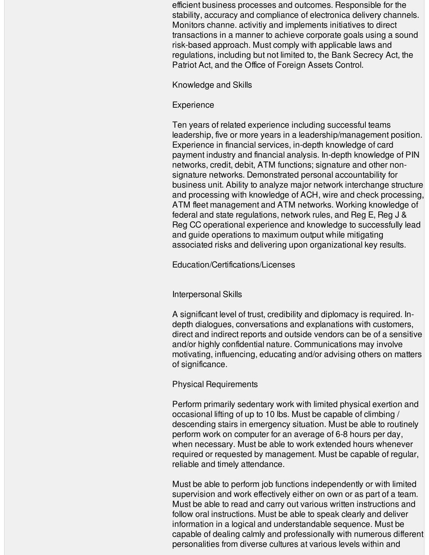efficient business processes and outcomes. Responsible for the stability, accuracy and compliance of electronica delivery channels. Monitors channe. activitiy and implements initiatives to direct transactions in a manner to achieve corporate goals using a sound risk-based approach. Must comply with applicable laws and regulations, including but not limited to, the Bank Secrecy Act, the Patriot Act, and the Office of Foreign Assets Control.

## Knowledge and Skills

## **Experience**

Ten years of related experience including successful teams leadership, five or more years in a leadership/management position. Experience in financial services, in-depth knowledge of card payment industry and financial analysis. In-depth knowledge of PIN networks, credit, debit, ATM functions; signature and other nonsignature networks. Demonstrated personal accountability for business unit. Ability to analyze major network interchange structure and processing with knowledge of ACH, wire and check processing, ATM fleet management and ATM networks. Working knowledge of federal and state regulations, network rules, and Reg E, Reg J & Reg CC operational experience and knowledge to successfully lead and guide operations to maximum output while mitigating associated risks and delivering upon organizational key results.

Education/Certifications/Licenses

## Interpersonal Skills

A significant level of trust, credibility and diplomacy is required. Indepth dialogues, conversations and explanations with customers, direct and indirect reports and outside vendors can be of a sensitive and/or highly confidential nature. Communications may involve motivating, influencing, educating and/or advising others on matters of significance.

## Physical Requirements

Perform primarily sedentary work with limited physical exertion and occasional lifting of up to 10 lbs. Must be capable of climbing / descending stairs in emergency situation. Must be able to routinely perform work on computer for an average of 6-8 hours per day, when necessary. Must be able to work extended hours whenever required or requested by management. Must be capable of regular, reliable and timely attendance.

Must be able to perform job functions independently or with limited supervision and work effectively either on own or as part of a team. Must be able to read and carry out various written instructions and follow oral instructions. Must be able to speak clearly and deliver information in a logical and understandable sequence. Must be capable of dealing calmly and professionally with numerous different personalities from diverse cultures at various levels within and